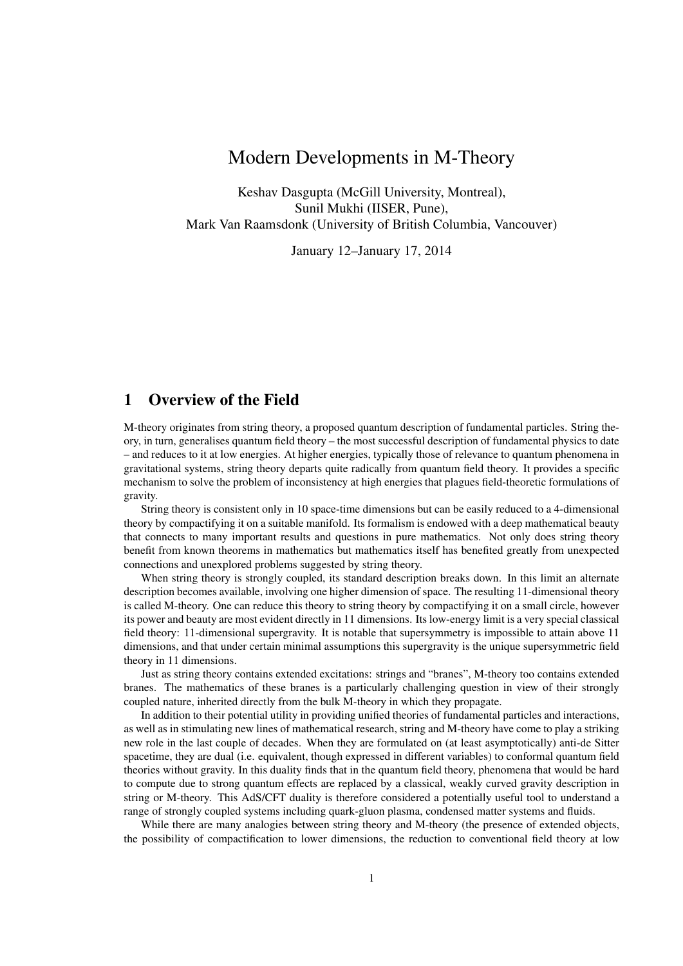# Modern Developments in M-Theory

Keshav Dasgupta (McGill University, Montreal), Sunil Mukhi (IISER, Pune), Mark Van Raamsdonk (University of British Columbia, Vancouver)

January 12–January 17, 2014

# 1 Overview of the Field

M-theory originates from string theory, a proposed quantum description of fundamental particles. String theory, in turn, generalises quantum field theory – the most successful description of fundamental physics to date – and reduces to it at low energies. At higher energies, typically those of relevance to quantum phenomena in gravitational systems, string theory departs quite radically from quantum field theory. It provides a specific mechanism to solve the problem of inconsistency at high energies that plagues field-theoretic formulations of gravity.

String theory is consistent only in 10 space-time dimensions but can be easily reduced to a 4-dimensional theory by compactifying it on a suitable manifold. Its formalism is endowed with a deep mathematical beauty that connects to many important results and questions in pure mathematics. Not only does string theory benefit from known theorems in mathematics but mathematics itself has benefited greatly from unexpected connections and unexplored problems suggested by string theory.

When string theory is strongly coupled, its standard description breaks down. In this limit an alternate description becomes available, involving one higher dimension of space. The resulting 11-dimensional theory is called M-theory. One can reduce this theory to string theory by compactifying it on a small circle, however its power and beauty are most evident directly in 11 dimensions. Its low-energy limit is a very special classical field theory: 11-dimensional supergravity. It is notable that supersymmetry is impossible to attain above 11 dimensions, and that under certain minimal assumptions this supergravity is the unique supersymmetric field theory in 11 dimensions.

Just as string theory contains extended excitations: strings and "branes", M-theory too contains extended branes. The mathematics of these branes is a particularly challenging question in view of their strongly coupled nature, inherited directly from the bulk M-theory in which they propagate.

In addition to their potential utility in providing unified theories of fundamental particles and interactions, as well as in stimulating new lines of mathematical research, string and M-theory have come to play a striking new role in the last couple of decades. When they are formulated on (at least asymptotically) anti-de Sitter spacetime, they are dual (i.e. equivalent, though expressed in different variables) to conformal quantum field theories without gravity. In this duality finds that in the quantum field theory, phenomena that would be hard to compute due to strong quantum effects are replaced by a classical, weakly curved gravity description in string or M-theory. This AdS/CFT duality is therefore considered a potentially useful tool to understand a range of strongly coupled systems including quark-gluon plasma, condensed matter systems and fluids.

While there are many analogies between string theory and M-theory (the presence of extended objects, the possibility of compactification to lower dimensions, the reduction to conventional field theory at low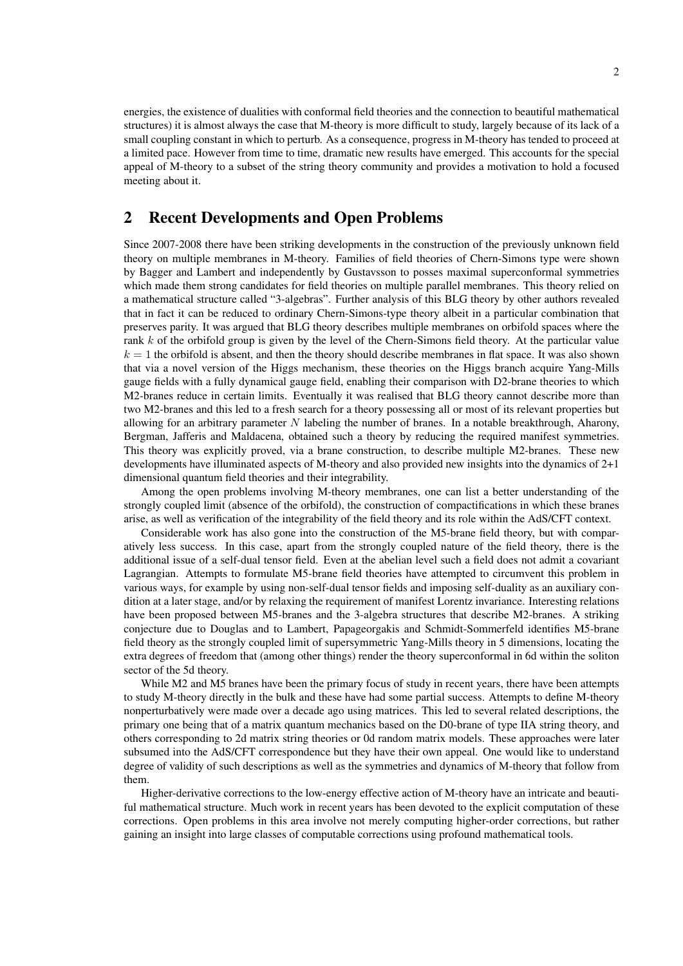energies, the existence of dualities with conformal field theories and the connection to beautiful mathematical structures) it is almost always the case that M-theory is more difficult to study, largely because of its lack of a small coupling constant in which to perturb. As a consequence, progress in M-theory has tended to proceed at a limited pace. However from time to time, dramatic new results have emerged. This accounts for the special appeal of M-theory to a subset of the string theory community and provides a motivation to hold a focused meeting about it.

## 2 Recent Developments and Open Problems

Since 2007-2008 there have been striking developments in the construction of the previously unknown field theory on multiple membranes in M-theory. Families of field theories of Chern-Simons type were shown by Bagger and Lambert and independently by Gustavsson to posses maximal superconformal symmetries which made them strong candidates for field theories on multiple parallel membranes. This theory relied on a mathematical structure called "3-algebras". Further analysis of this BLG theory by other authors revealed that in fact it can be reduced to ordinary Chern-Simons-type theory albeit in a particular combination that preserves parity. It was argued that BLG theory describes multiple membranes on orbifold spaces where the rank k of the orbifold group is given by the level of the Chern-Simons field theory. At the particular value  $k = 1$  the orbifold is absent, and then the theory should describe membranes in flat space. It was also shown that via a novel version of the Higgs mechanism, these theories on the Higgs branch acquire Yang-Mills gauge fields with a fully dynamical gauge field, enabling their comparison with D2-brane theories to which M2-branes reduce in certain limits. Eventually it was realised that BLG theory cannot describe more than two M2-branes and this led to a fresh search for a theory possessing all or most of its relevant properties but allowing for an arbitrary parameter  $N$  labeling the number of branes. In a notable breakthrough, Aharony, Bergman, Jafferis and Maldacena, obtained such a theory by reducing the required manifest symmetries. This theory was explicitly proved, via a brane construction, to describe multiple M2-branes. These new developments have illuminated aspects of M-theory and also provided new insights into the dynamics of 2+1 dimensional quantum field theories and their integrability.

Among the open problems involving M-theory membranes, one can list a better understanding of the strongly coupled limit (absence of the orbifold), the construction of compactifications in which these branes arise, as well as verification of the integrability of the field theory and its role within the AdS/CFT context.

Considerable work has also gone into the construction of the M5-brane field theory, but with comparatively less success. In this case, apart from the strongly coupled nature of the field theory, there is the additional issue of a self-dual tensor field. Even at the abelian level such a field does not admit a covariant Lagrangian. Attempts to formulate M5-brane field theories have attempted to circumvent this problem in various ways, for example by using non-self-dual tensor fields and imposing self-duality as an auxiliary condition at a later stage, and/or by relaxing the requirement of manifest Lorentz invariance. Interesting relations have been proposed between M5-branes and the 3-algebra structures that describe M2-branes. A striking conjecture due to Douglas and to Lambert, Papageorgakis and Schmidt-Sommerfeld identifies M5-brane field theory as the strongly coupled limit of supersymmetric Yang-Mills theory in 5 dimensions, locating the extra degrees of freedom that (among other things) render the theory superconformal in 6d within the soliton sector of the 5d theory.

While M2 and M5 branes have been the primary focus of study in recent years, there have been attempts to study M-theory directly in the bulk and these have had some partial success. Attempts to define M-theory nonperturbatively were made over a decade ago using matrices. This led to several related descriptions, the primary one being that of a matrix quantum mechanics based on the D0-brane of type IIA string theory, and others corresponding to 2d matrix string theories or 0d random matrix models. These approaches were later subsumed into the AdS/CFT correspondence but they have their own appeal. One would like to understand degree of validity of such descriptions as well as the symmetries and dynamics of M-theory that follow from them.

Higher-derivative corrections to the low-energy effective action of M-theory have an intricate and beautiful mathematical structure. Much work in recent years has been devoted to the explicit computation of these corrections. Open problems in this area involve not merely computing higher-order corrections, but rather gaining an insight into large classes of computable corrections using profound mathematical tools.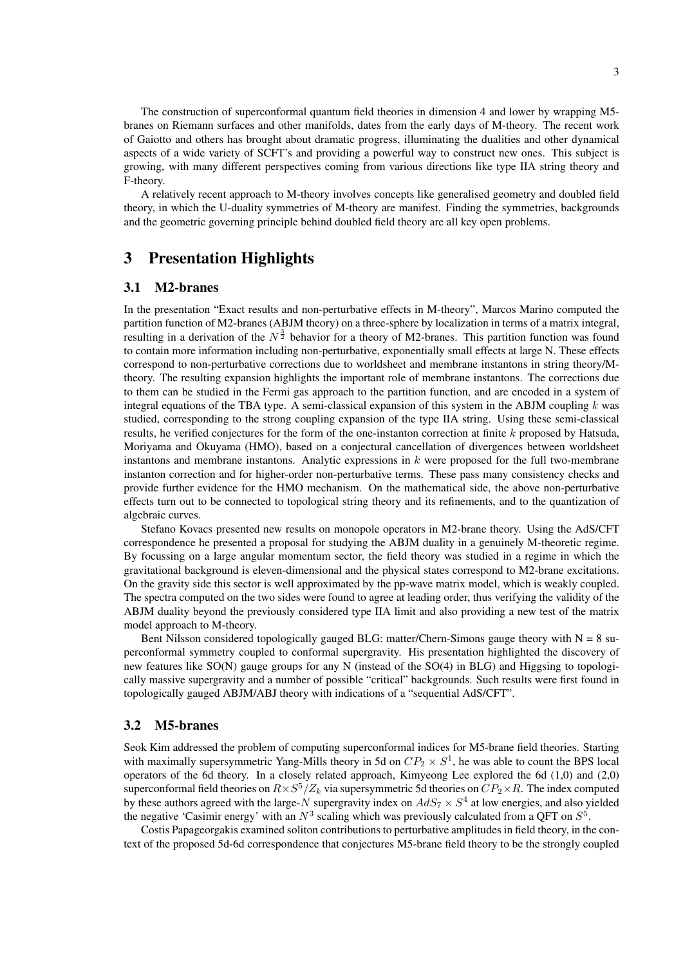The construction of superconformal quantum field theories in dimension 4 and lower by wrapping M5 branes on Riemann surfaces and other manifolds, dates from the early days of M-theory. The recent work of Gaiotto and others has brought about dramatic progress, illuminating the dualities and other dynamical aspects of a wide variety of SCFT's and providing a powerful way to construct new ones. This subject is growing, with many different perspectives coming from various directions like type IIA string theory and F-theory.

A relatively recent approach to M-theory involves concepts like generalised geometry and doubled field theory, in which the U-duality symmetries of M-theory are manifest. Finding the symmetries, backgrounds and the geometric governing principle behind doubled field theory are all key open problems.

# 3 Presentation Highlights

#### 3.1 M2-branes

In the presentation "Exact results and non-perturbative effects in M-theory", Marcos Marino computed the partition function of M2-branes (ABJM theory) on a three-sphere by localization in terms of a matrix integral, resulting in a derivation of the  $N^{\frac{3}{2}}$  behavior for a theory of M2-branes. This partition function was found to contain more information including non-perturbative, exponentially small effects at large N. These effects correspond to non-perturbative corrections due to worldsheet and membrane instantons in string theory/Mtheory. The resulting expansion highlights the important role of membrane instantons. The corrections due to them can be studied in the Fermi gas approach to the partition function, and are encoded in a system of integral equations of the TBA type. A semi-classical expansion of this system in the ABJM coupling  $k$  was studied, corresponding to the strong coupling expansion of the type IIA string. Using these semi-classical results, he verified conjectures for the form of the one-instanton correction at finite k proposed by Hatsuda, Moriyama and Okuyama (HMO), based on a conjectural cancellation of divergences between worldsheet instantons and membrane instantons. Analytic expressions in  $k$  were proposed for the full two-membrane instanton correction and for higher-order non-perturbative terms. These pass many consistency checks and provide further evidence for the HMO mechanism. On the mathematical side, the above non-perturbative effects turn out to be connected to topological string theory and its refinements, and to the quantization of algebraic curves.

Stefano Kovacs presented new results on monopole operators in M2-brane theory. Using the AdS/CFT correspondence he presented a proposal for studying the ABJM duality in a genuinely M-theoretic regime. By focussing on a large angular momentum sector, the field theory was studied in a regime in which the gravitational background is eleven-dimensional and the physical states correspond to M2-brane excitations. On the gravity side this sector is well approximated by the pp-wave matrix model, which is weakly coupled. The spectra computed on the two sides were found to agree at leading order, thus verifying the validity of the ABJM duality beyond the previously considered type IIA limit and also providing a new test of the matrix model approach to M-theory.

Bent Nilsson considered topologically gauged BLG: matter/Chern-Simons gauge theory with  $N = 8$  superconformal symmetry coupled to conformal supergravity. His presentation highlighted the discovery of new features like SO(N) gauge groups for any N (instead of the SO(4) in BLG) and Higgsing to topologically massive supergravity and a number of possible "critical" backgrounds. Such results were first found in topologically gauged ABJM/ABJ theory with indications of a "sequential AdS/CFT".

### 3.2 M5-branes

Seok Kim addressed the problem of computing superconformal indices for M5-brane field theories. Starting with maximally supersymmetric Yang-Mills theory in 5d on  $CP_2 \times S^1$ , he was able to count the BPS local operators of the 6d theory. In a closely related approach, Kimyeong Lee explored the 6d (1,0) and (2,0) superconformal field theories on  $R \times S^5/Z_k$  via supersymmetric 5d theories on  $CP_2 \times R$ . The index computed by these authors agreed with the large-N supergravity index on  $AdS_7 \times S^4$  at low energies, and also yielded the negative 'Casimir energy' with an  $N^3$  scaling which was previously calculated from a QFT on  $S^5$ .

Costis Papageorgakis examined soliton contributions to perturbative amplitudes in field theory, in the context of the proposed 5d-6d correspondence that conjectures M5-brane field theory to be the strongly coupled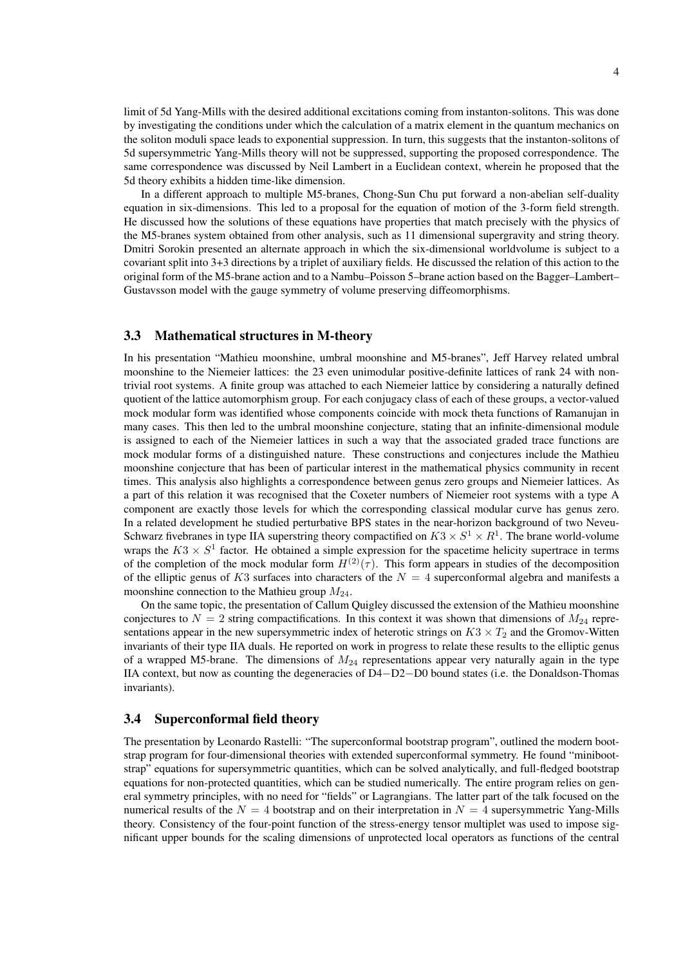limit of 5d Yang-Mills with the desired additional excitations coming from instanton-solitons. This was done by investigating the conditions under which the calculation of a matrix element in the quantum mechanics on the soliton moduli space leads to exponential suppression. In turn, this suggests that the instanton-solitons of 5d supersymmetric Yang-Mills theory will not be suppressed, supporting the proposed correspondence. The same correspondence was discussed by Neil Lambert in a Euclidean context, wherein he proposed that the 5d theory exhibits a hidden time-like dimension.

In a different approach to multiple M5-branes, Chong-Sun Chu put forward a non-abelian self-duality equation in six-dimensions. This led to a proposal for the equation of motion of the 3-form field strength. He discussed how the solutions of these equations have properties that match precisely with the physics of the M5-branes system obtained from other analysis, such as 11 dimensional supergravity and string theory. Dmitri Sorokin presented an alternate approach in which the six-dimensional worldvolume is subject to a covariant split into 3+3 directions by a triplet of auxiliary fields. He discussed the relation of this action to the original form of the M5-brane action and to a Nambu–Poisson 5–brane action based on the Bagger–Lambert– Gustavsson model with the gauge symmetry of volume preserving diffeomorphisms.

#### 3.3 Mathematical structures in M-theory

In his presentation "Mathieu moonshine, umbral moonshine and M5-branes", Jeff Harvey related umbral moonshine to the Niemeier lattices: the 23 even unimodular positive-definite lattices of rank 24 with nontrivial root systems. A finite group was attached to each Niemeier lattice by considering a naturally defined quotient of the lattice automorphism group. For each conjugacy class of each of these groups, a vector-valued mock modular form was identified whose components coincide with mock theta functions of Ramanujan in many cases. This then led to the umbral moonshine conjecture, stating that an infinite-dimensional module is assigned to each of the Niemeier lattices in such a way that the associated graded trace functions are mock modular forms of a distinguished nature. These constructions and conjectures include the Mathieu moonshine conjecture that has been of particular interest in the mathematical physics community in recent times. This analysis also highlights a correspondence between genus zero groups and Niemeier lattices. As a part of this relation it was recognised that the Coxeter numbers of Niemeier root systems with a type A component are exactly those levels for which the corresponding classical modular curve has genus zero. In a related development he studied perturbative BPS states in the near-horizon background of two Neveu-Schwarz fivebranes in type IIA superstring theory compactified on  $K3 \times S^1 \times R^1$ . The brane world-volume wraps the  $K3 \times S^1$  factor. He obtained a simple expression for the spacetime helicity supertrace in terms of the completion of the mock modular form  $H^{(2)}(\tau)$ . This form appears in studies of the decomposition of the elliptic genus of K3 surfaces into characters of the  $N = 4$  superconformal algebra and manifests a moonshine connection to the Mathieu group  $M_{24}$ .

On the same topic, the presentation of Callum Quigley discussed the extension of the Mathieu moonshine conjectures to  $N = 2$  string compactifications. In this context it was shown that dimensions of  $M_{24}$  representations appear in the new supersymmetric index of heterotic strings on  $K3 \times T_2$  and the Gromov-Witten invariants of their type IIA duals. He reported on work in progress to relate these results to the elliptic genus of a wrapped M5-brane. The dimensions of  $M_{24}$  representations appear very naturally again in the type IIA context, but now as counting the degeneracies of D4−D2−D0 bound states (i.e. the Donaldson-Thomas invariants).

#### 3.4 Superconformal field theory

The presentation by Leonardo Rastelli: "The superconformal bootstrap program", outlined the modern bootstrap program for four-dimensional theories with extended superconformal symmetry. He found "minibootstrap" equations for supersymmetric quantities, which can be solved analytically, and full-fledged bootstrap equations for non-protected quantities, which can be studied numerically. The entire program relies on general symmetry principles, with no need for "fields" or Lagrangians. The latter part of the talk focused on the numerical results of the  $N = 4$  bootstrap and on their interpretation in  $N = 4$  supersymmetric Yang-Mills theory. Consistency of the four-point function of the stress-energy tensor multiplet was used to impose significant upper bounds for the scaling dimensions of unprotected local operators as functions of the central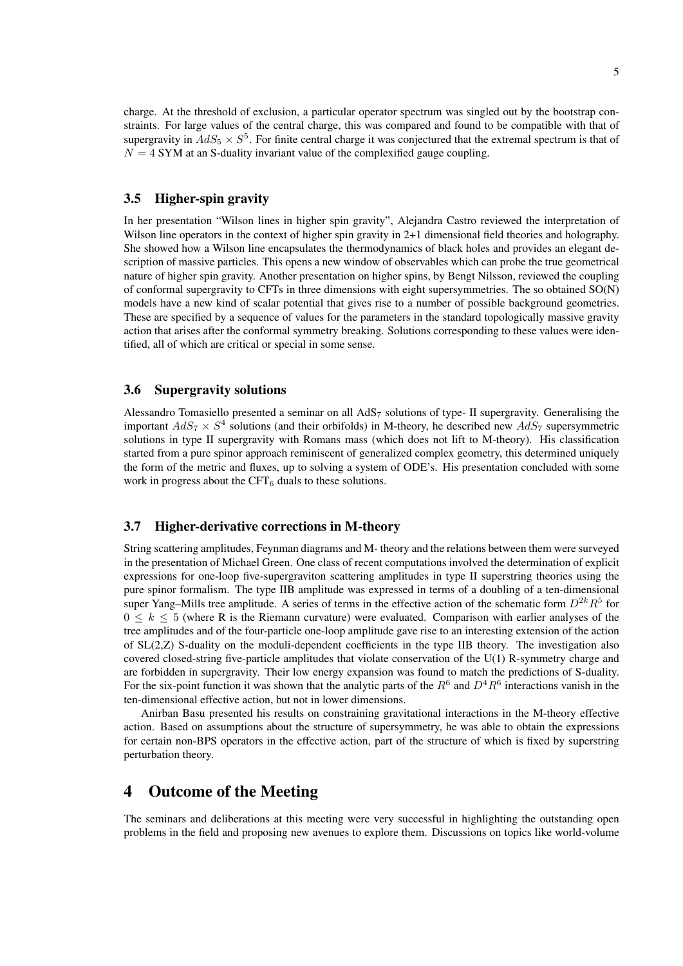charge. At the threshold of exclusion, a particular operator spectrum was singled out by the bootstrap constraints. For large values of the central charge, this was compared and found to be compatible with that of supergravity in  $AdS_5 \times S^5$ . For finite central charge it was conjectured that the extremal spectrum is that of  $N = 4$  SYM at an S-duality invariant value of the complexified gauge coupling.

#### 3.5 Higher-spin gravity

In her presentation "Wilson lines in higher spin gravity", Alejandra Castro reviewed the interpretation of Wilson line operators in the context of higher spin gravity in 2+1 dimensional field theories and holography. She showed how a Wilson line encapsulates the thermodynamics of black holes and provides an elegant description of massive particles. This opens a new window of observables which can probe the true geometrical nature of higher spin gravity. Another presentation on higher spins, by Bengt Nilsson, reviewed the coupling of conformal supergravity to CFTs in three dimensions with eight supersymmetries. The so obtained SO(N) models have a new kind of scalar potential that gives rise to a number of possible background geometries. These are specified by a sequence of values for the parameters in the standard topologically massive gravity action that arises after the conformal symmetry breaking. Solutions corresponding to these values were identified, all of which are critical or special in some sense.

#### 3.6 Supergravity solutions

Alessandro Tomasiello presented a seminar on all  $AdS_7$  solutions of type- II supergravity. Generalising the important  $AdS_7 \times S^4$  solutions (and their orbifolds) in M-theory, he described new  $AdS_7$  supersymmetric solutions in type II supergravity with Romans mass (which does not lift to M-theory). His classification started from a pure spinor approach reminiscent of generalized complex geometry, this determined uniquely the form of the metric and fluxes, up to solving a system of ODE's. His presentation concluded with some work in progress about the  $CFT_6$  duals to these solutions.

### 3.7 Higher-derivative corrections in M-theory

String scattering amplitudes, Feynman diagrams and M- theory and the relations between them were surveyed in the presentation of Michael Green. One class of recent computations involved the determination of explicit expressions for one-loop five-supergraviton scattering amplitudes in type II superstring theories using the pure spinor formalism. The type IIB amplitude was expressed in terms of a doubling of a ten-dimensional super Yang–Mills tree amplitude. A series of terms in the effective action of the schematic form  $D^{2k}R^5$  for  $0 \leq k \leq 5$  (where R is the Riemann curvature) were evaluated. Comparison with earlier analyses of the tree amplitudes and of the four-particle one-loop amplitude gave rise to an interesting extension of the action of SL(2,Z) S-duality on the moduli-dependent coefficients in the type IIB theory. The investigation also covered closed-string five-particle amplitudes that violate conservation of the U(1) R-symmetry charge and are forbidden in supergravity. Their low energy expansion was found to match the predictions of S-duality. For the six-point function it was shown that the analytic parts of the  $R^6$  and  $D^4R^6$  interactions vanish in the ten-dimensional effective action, but not in lower dimensions.

Anirban Basu presented his results on constraining gravitational interactions in the M-theory effective action. Based on assumptions about the structure of supersymmetry, he was able to obtain the expressions for certain non-BPS operators in the effective action, part of the structure of which is fixed by superstring perturbation theory.

### 4 Outcome of the Meeting

The seminars and deliberations at this meeting were very successful in highlighting the outstanding open problems in the field and proposing new avenues to explore them. Discussions on topics like world-volume